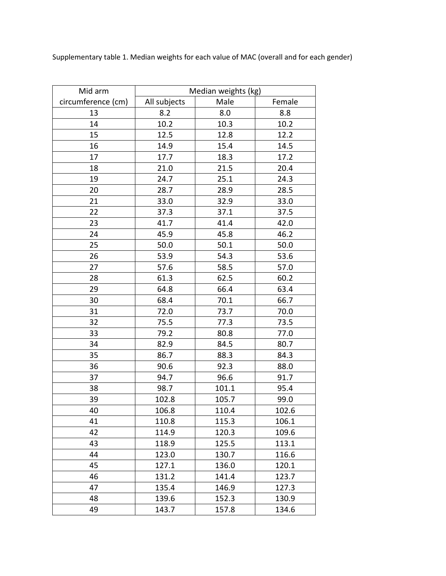Supplementary table 1. Median weights for each value of MAC (overall and for each gender)

| Mid arm            | Median weights (kg) |       |        |
|--------------------|---------------------|-------|--------|
| circumference (cm) | All subjects        | Male  | Female |
| 13                 | 8.2                 | 8.0   | 8.8    |
| 14                 | 10.2                | 10.3  | 10.2   |
| 15                 | 12.5                | 12.8  | 12.2   |
| 16                 | 14.9                | 15.4  | 14.5   |
| 17                 | 17.7                | 18.3  | 17.2   |
| 18                 | 21.0                | 21.5  | 20.4   |
| 19                 | 24.7                | 25.1  | 24.3   |
| 20                 | 28.7                | 28.9  | 28.5   |
| 21                 | 33.0                | 32.9  | 33.0   |
| 22                 | 37.3                | 37.1  | 37.5   |
| 23                 | 41.7                | 41.4  | 42.0   |
| 24                 | 45.9                | 45.8  | 46.2   |
| 25                 | 50.0                | 50.1  | 50.0   |
| 26                 | 53.9                | 54.3  | 53.6   |
| 27                 | 57.6                | 58.5  | 57.0   |
| 28                 | 61.3                | 62.5  | 60.2   |
| 29                 | 64.8                | 66.4  | 63.4   |
| 30                 | 68.4                | 70.1  | 66.7   |
| 31                 | 72.0                | 73.7  | 70.0   |
| 32                 | 75.5                | 77.3  | 73.5   |
| 33                 | 79.2                | 80.8  | 77.0   |
| 34                 | 82.9                | 84.5  | 80.7   |
| 35                 | 86.7                | 88.3  | 84.3   |
| 36                 | 90.6                | 92.3  | 88.0   |
| 37                 | 94.7                | 96.6  | 91.7   |
| 38                 | 98.7                | 101.1 | 95.4   |
| 39                 | 102.8               | 105.7 | 99.0   |
| 40                 | 106.8               | 110.4 | 102.6  |
| 41                 | 110.8               | 115.3 | 106.1  |
| 42                 | 114.9               | 120.3 | 109.6  |
| 43                 | 118.9               | 125.5 | 113.1  |
| 44                 | 123.0               | 130.7 | 116.6  |
| 45                 | 127.1               | 136.0 | 120.1  |
| 46                 | 131.2               | 141.4 | 123.7  |
| 47                 | 135.4               | 146.9 | 127.3  |
| 48                 | 139.6               | 152.3 | 130.9  |
| 49                 | 143.7               | 157.8 | 134.6  |